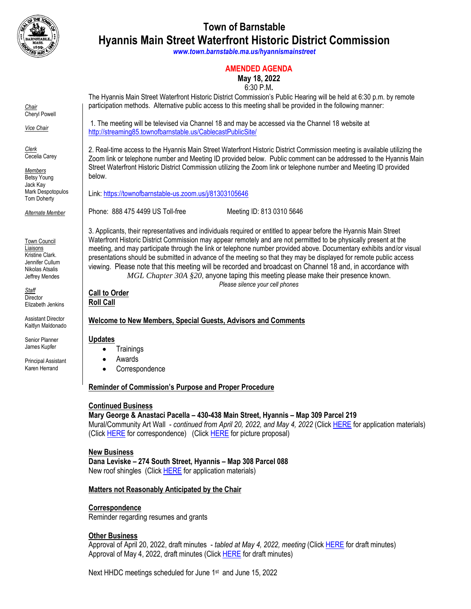

# **Town of Barnstable Hyannis Main Street Waterfront Historic District Commission**

*[www.town.barnstable.ma.us/hyannismainstreet](http://www.townofbarnstable.ma.us/hyannismainstreet)*

## **AMENDED AGENDA**

## **May 18, 2022**

#### 6:30 P.M**.**

*Chair* Cheryl Powell

*Vice Chair*

*Clerk* Cecelia Carey

*Members* Betsy Young Jack Kay Mark Despotopulos Tom Doherty

*Alternate Member*

Town Council Liaisons Kristine Clark. Jennifer Cullum Nikolas Atsalis Jeffrey Mendes

*Staff* **Director** Elizabeth Jenkins

Assistant Director Kaitlyn Maldonado

Senior Planner James Kupfer

Principal Assistant Karen Herrand

The Hyannis Main Street Waterfront Historic District Commission's Public Hearing will be held at 6:30 p.m. by remote participation methods. Alternative public access to this meeting shall be provided in the following manner:

1. The meeting will be televised via Channel 18 and may be accessed via the Channel 18 website at <http://streaming85.townofbarnstable.us/CablecastPublicSite/>

2. Real-time access to the Hyannis Main Street Waterfront Historic District Commission meeting is available utilizing the Zoom link or telephone number and Meeting ID provided below. Public comment can be addressed to the Hyannis Main Street Waterfront Historic District Commission utilizing the Zoom link or telephone number and Meeting ID provided below.

Link:<https://townofbarnstable-us.zoom.us/j/81303105646>

Phone: 888 475 4499 US Toll-free Meeting ID: 813 0310 5646

3. Applicants, their representatives and individuals required or entitled to appear before the Hyannis Main Street Waterfront Historic District Commission may appear remotely and are not permitted to be physically present at the meeting, and may participate through the link or telephone number provided above. Documentary exhibits and/or visual presentations should be submitted in advance of the meeting so that they may be displayed for remote public access viewing. Please note that this meeting will be recorded and broadcast on Channel 18 and, in accordance with *MGL Chapter 30A §20*, anyone taping this meeting please make their presence known.

*Please silence your cell phones*

**Call to Order Roll Call**

# **Welcome to New Members, Special Guests, Advisors and Comments**

#### **Updates**

- Trainings
- Awards
- Correspondence

## **Reminder of Commission's Purpose and Proper Procedure**

## **Continued Business**

## **Mary George & Anastaci Pacella – 430-438 Main Street, Hyannis – Map 309 Parcel 219**

Mural/Community Art Wall - *continued from April 20, 2022, and May 4, 2022* (Click [HERE](https://itlaserfiche.town.barnstable.ma.us/WebLink/DocView.aspx?id=764196&dbid=0&repo=TownOfBarnstable) for application materials) (Click [HERE](https://itlaserfiche.town.barnstable.ma.us/WebLink/Browse.aspx?id=764269&dbid=0&repo=TownOfBarnstable) for correspondence) (Clic[k HERE](https://itlaserfiche.town.barnstable.ma.us/WebLink/DocView.aspx?id=764197&dbid=0&repo=TownOfBarnstable) for picture proposal)

#### **New Business**

**Dana Leviske – 274 South Street, Hyannis – Map 308 Parcel 088** New roof shingles (Clic[k HERE](https://itlaserfiche.town.barnstable.ma.us/WebLink/DocView.aspx?id=764198&dbid=0&repo=TownOfBarnstable) for application materials)

## **Matters not Reasonably Anticipated by the Chair**

## **Correspondence**

Reminder regarding resumes and grants

#### **Other Business**

Approval of April 20, 2022, draft minutes - *tabled at May 4, 2022, meeting* (Clic[k HERE](https://itlaserfiche.town.barnstable.ma.us/WebLink/DocView.aspx?id=764199&dbid=0&repo=TownOfBarnstable) for draft minutes) Approval of May 4, 2022, draft minutes (Clic[k HERE](https://itlaserfiche.town.barnstable.ma.us/WebLink/DocView.aspx?id=764200&dbid=0&repo=TownOfBarnstable) for draft minutes)

Next HHDC meetings scheduled for June 1st and June 15, 2022